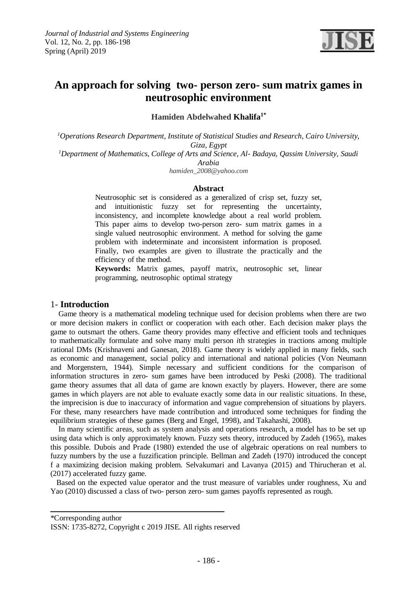

# **An approach for solving two- person zero- sum matrix games in neutrosophic environment**

**Khalifa1\* Hamiden Abdelwahed**

*Operations Research Department, Institute of Statistical Studies and Research, Cairo University, <sup>1</sup> Giza, Egypt*

*<sup>1</sup>Department of Mathematics, College of Arts and Science, Al- Badaya, Qassim University, Saudi Arabia*

*hamiden\_2008@yahoo.com*

#### **Abstract**

Neutrosophic set is considered as a generalized of crisp set, fuzzy set, and intuitionistic fuzzy set for representing the uncertainty, inconsistency, and incomplete knowledge about a real world problem. This paper aims to develop two-person zero- sum matrix games in a single valued neutrosophic environment. A method for solving the game problem with indeterminate and inconsistent information is proposed. Finally, two examples are given to illustrate the practically and the efficiency of the method.

**Keywords:** Matrix games, payoff matrix, neutrosophic set, linear programming, neutrosophic optimal strategy

#### 1- **Introduction**

 Game theory is a mathematical modeling technique used for decision problems when there are two or more decision makers in conflict or cooperation with each other. Each decision maker plays the game to outsmart the others. Game theory provides many effective and efficient tools and techniques to mathematically formulate and solve many multi person *i*th strategies in tractions among multiple rational DMs (Krishnaveni and Ganesan, 2018). Game theory is widely applied in many fields, such as economic and management, social policy and international and national policies (Von Neumann and Morgenstern, 1944). Simple necessary and sufficient conditions for the comparison of information structures in zero- sum games have been introduced by Peski (2008). The traditional game theory assumes that all data of game are known exactly by players. However, there are some games in which players are not able to evaluate exactly some data in our realistic situations. In these, the imprecision is due to inaccuracy of information and vague comprehension of situations by players. For these, many researchers have made contribution and introduced some techniques for finding the equilibrium strategies of these games (Berg and Engel, 1998), and Takahashi, 2008).

In many scientific areas, such as system analysis and operations research, a model has to be set up using data which is only approximately known. Fuzzy sets theory, introduced by Zadeh (1965), makes this possible. Dubois and Prade (1980) extended the use of algebraic operations on real numbers to fuzzy numbers by the use a fuzzification principle. Bellman and Zadeh (1970) introduced the concept f a maximizing decision making problem. Selvakumari and Lavanya (2015) and Thirucheran et al. (2017) accelerated fuzzy game.

 Based on the expected value operator and the trust measure of variables under roughness, Xu and Yao (2010) discussed a class of two- person zero- sum games payoffs represented as rough.

\*Corresponding author

ISSN: 1735-8272, Copyright c 2019 JISE. All rights reserved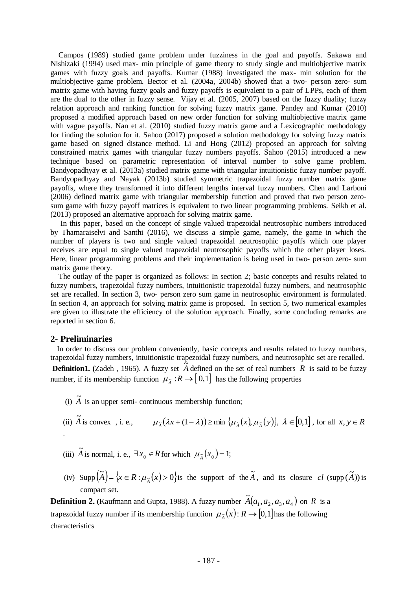Campos (1989) studied game problem under fuzziness in the goal and payoffs. Sakawa and Nishizaki (1994) used max- min principle of game theory to study single and multiobjective matrix games with fuzzy goals and payoffs. Kumar (1988) investigated the max- min solution for the multiobjective game problem. Bector et al. (2004a, 2004b) showed that a two- person zero- sum matrix game with having fuzzy goals and fuzzy payoffs is equivalent to a pair of LPPs, each of them are the dual to the other in fuzzy sense. Vijay et al. (2005, 2007) based on the fuzzy duality; fuzzy relation approach and ranking function for solving fuzzy matrix game. Pandey and Kumar (2010) proposed a modified approach based on new order function for solving multiobjective matrix game with vague payoffs. Nan et al. (2010) studied fuzzy matrix game and a Lexicographic methodology for finding the solution for it. Sahoo (2017) proposed a solution methodology for solving fuzzy matrix game based on signed distance method. Li and Hong (2012) proposed an approach for solving constrained matrix games with triangular fuzzy numbers payoffs. Sahoo (2015) introduced a new technique based on parametric representation of interval number to solve game problem. Bandyopadhyay et al. (2013a) studied matrix game with triangular intuitionistic fuzzy number payoff. Bandyopadhyay and Nayak (2013b) studied symmetric trapezoidal fuzzy number matrix game payoffs, where they transformed it into different lengths interval fuzzy numbers. Chen and Larboni (2006) defined matrix game with triangular membership function and proved that two person zerosum game with fuzzy payoff matrices is equivalent to two linear programming problems. Seikh et al. (2013) proposed an alternative approach for solving matrix game.

 In this paper, based on the concept of single valued trapezoidal neutrosophic numbers introduced by Thamaraiselvi and Santhi (2016), we discuss a simple game, namely, the game in which the number of players is two and single valued trapezoidal neutrosophic payoffs which one player receives are equal to single valued trapezoidal neutrosophic payoffs which the other player loses. Here, linear programming problems and their implementation is being used in two- person zero- sum matrix game theory.

 The outlay of the paper is organized as follows: In section 2; basic concepts and results related to fuzzy numbers, trapezoidal fuzzy numbers, intuitionistic trapezoidal fuzzy numbers, and neutrosophic set are recalled. In section 3, two- person zero sum game in neutrosophic environment is formulated. In section 4, an approach for solving matrix game is proposed. In section 5, two numerical examples are given to illustrate the efficiency of the solution approach. Finally, some concluding remarks are reported in section 6.

#### **2- Preliminaries**

In order to discuss our problem conveniently, basic concepts and results related to fuzzy numbers, trapezoidal fuzzy numbers, intuitionistic trapezoidal fuzzy numbers, and neutrosophic set are recalled.

**Definition1.** (Zadeh, 1965). A fuzzy set  $\tilde{A}$  defined on the set of real numbers R is said to be fuzzy number, if its membership function  $\mu_{\tilde{A}} : R \to [0,1]$  has the following properties

- (i)  $\tilde{A}$  is an upper semi- continuous membership function;
- (ii)  $\tilde{A}$  is convex, i. e.,  $\mu_{\tilde{A}}(\lambda x + (1 \lambda)) \ge \min \{\mu_{\tilde{A}}(x), \mu_{\tilde{A}}(y)\}, \lambda \in [0,1]$ , for all  $x, y \in R$ .
- (iii)  $\widetilde{A}$  is normal, i. e.,  $\exists x_0 \in R$  for which  $\mu_{\widetilde{A}}(x_0) = 1$ ;
- (iv)  $\text{Supp}(\tilde{A}) = \{x \in R : \mu_{\tilde{A}}(x) > 0\}$  is the support of the  $\tilde{A}$ , and its closure *cl* (supp  $(\tilde{A})$ ) is compact set.

**Definition 2.** (Kaufmann and Gupta, 1988). A fuzzy number  $\widetilde{A}(a_1, a_2, a_3, a_4)$  $\widetilde{A}(a_1, a_2, a_3, a_4)$  on R is a trapezoidal fuzzy number if its membership function  $\mu_{\tilde{A}}(x)$ :  $R \to [0,1]$  has the following characteristics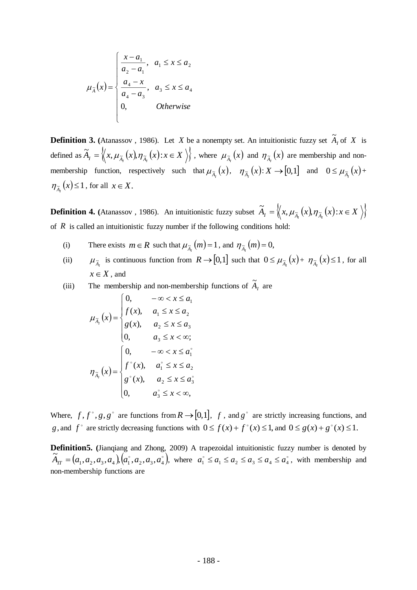$$
\mu_{\tilde{A}}(x) = \begin{cases}\n\frac{x - a_1}{a_2 - a_1}, & a_1 \le x \le a_2 \\
\frac{a_4 - x}{a_4 - a_3}, & a_3 \le x \le a_4 \\
0, & Otherwise\n\end{cases}
$$

**Definition 3.** (Atanassov, 1986). Let X be a nonempty set. An intuitionistic fuzzy set  $\tilde{A}_I$  of X is defined as  $\widetilde{A}_I = \left\langle x, \mu_{\widetilde{A}_I}(x), \eta_{\widetilde{A}_I}(x) : x \in X \right\rangle$ , where  $\mu_{\widetilde{A}_I}(x)$  and  $\eta_{\widetilde{A}_I}(x)$  are membership and nonmembership function, respectively such that  $\mu_{\tilde{A}_I}(x)$ ,  $\eta_{\tilde{A}_I}(x): X \to [0,1]$  and  $0 \le \mu_{\tilde{A}_I}(x) +$  $\eta_{\tilde{A}_I}(x) \leq 1$ , for all  $x \in X$ .

**Definition 4.** (Atanassov, 1986). An intuitionistic fuzzy subset  $\widetilde{A}_I = \left\langle \left\langle x, \mu_{\widetilde{A}_I}(x), \eta_{\widetilde{A}_I}(x) : x \in X \right\rangle \right\rangle$ of  $R$  is called an intuitionistic fuzzy number if the following conditions hold:

- (i) There exists  $m \in R$  such that  $\mu_{\tilde{A}_I}(m) = 1$ , and  $\eta_{\tilde{A}_I}(m) = 0$ ,
- (ii)  $\mu_{\tilde{A}_I}$  is continuous function from  $R \to [0,1]$  such that  $0 \le \mu_{\tilde{A}_I}(x) + \eta_{\tilde{A}_I}(x) \le 1$ , for all  $x \in X$ , and
- (iii) The membership and non-membership functions of  $\widetilde{A}_I$  are

$$
\mu_{\tilde{A}_I}(x) = \begin{cases}\n0, & -\infty < x \le a_1 \\
f(x), & a_1 \le x \le a_2 \\
g(x), & a_2 \le x \le a_3 \\
0, & a_3 \le x < \infty; \\\n\tilde{A}_I(x) = \begin{cases}\n0, & -\infty < x \le a_1^{\circ} \\
f^{\circ}(x), & a_1^{\circ} \le x \le a_2 \\
g^{\circ}(x), & a_2 \le x \le a_3^{\circ} \\
0, & a_3^{\circ} \le x < \infty,\n\end{cases}\n\end{cases}
$$

Where,  $f, f^{\circ}, g, g^{\circ}$  are functions from  $R \rightarrow [0,1]$ ,  $f$ , and  $g^{\circ}$  are strictly increasing functions, and *g*, and  $f^{\circ}$  are strictly decreasing functions with  $0 \le f(x) + f^{\circ}(x) \le 1$ , and  $0 \le g(x) + g^{\circ}(x) \le 1$ .

**Definition5. (**Jianqiang and Zhong, 2009) A trapezoidal intuitionistic fuzzy number is denoted by  $\big(a^{}_{1}, a^{}_{2}, a^{}_{3}, a^{}_{4}\big) \big(a^{}_{1}, a^{}_{2}, a^{}_{3}, a^{}_{4}\big),$  $\widetilde{A}_{IT} = (a_1, a_2, a_3, a_4), (a_1, a_2, a_3, a_4),$  where  $a_1 \le a_1 \le a_2 \le a_3 \le a_4 \le a_4^{\circ}$ , with membership and non-membership functions are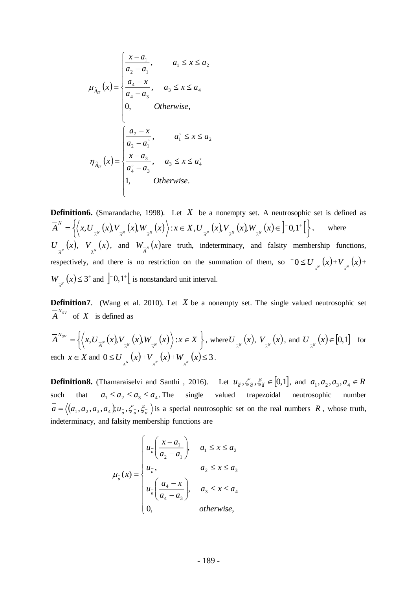$$
\mu_{\tilde{A}_{\pi}}(x) = \begin{cases}\n\frac{x - a_1}{a_2 - a_1}, & a_1 \leq x \leq a_2 \\
\frac{a_4 - x}{a_4 - a_3}, & a_3 \leq x \leq a_4 \\
0, & Otherwise, \n\end{cases}
$$
\n
$$
\eta_{\tilde{A}_{\pi}}(x) = \begin{cases}\n\frac{a_2 - x}{a_2 - a_1}, & a_1 \leq x \leq a_2 \\
\frac{x - a_3}{a_4 - a_3}, & a_3 \leq x \leq a_4 \\
1, & Otherwise.\n\end{cases}
$$

**Definition6.** (Smarandache, 1998). Let X be a nonempty set. A neutrosophic set is defined as  $(x)$ ,  $V_{\bar{A}^{N}}(x)$ ,  $W_{\bar{A}^{N}}(x)$   $\Big\rangle$  :  $x \in X$  ,  $U_{\bar{A}^{N}}(x)$ ,  $V_{\bar{A}^{N}}(x)$ ,  $W_{\bar{A}^{N}}(x) \in \left]^{-0,1^{+}}\right[\left]$  $\overline{A}^{N} = \left\{ \left\langle x, U_{\frac{1}{A^{N}}}\left(x\right)\!,V_{\frac{1}{A^{N}}}\left(x\right)\!,W_{\frac{1}{A^{N}}}\left(x\right)\right\rangle : x \in X, U_{\frac{1}{A^{N}}}\left(x\right)\!,V_{\frac{1}{A^{N}}}\left(x\right)\!,W_{\frac{1}{A^{N}}}\left(x\right)\!\in\left]-0,1^{+}\right\}$ *N* where  $U_{\overline{A}^N}(x)$ ,  $V_{\overline{A}^N}(x)$ , and  $W_{\overline{A}^N}(x)$  are truth, indeterminacy, and falsity membership functions, respectively, and there is no restriction on the summation of them, so  $0 \le U_{\frac{1}{A^N}}(x) + V_{\frac{1}{A^N}}(x) + V_{\frac{1}{A^N}}(x)$  $W_{\overline{\lambda}^N}(x) \leq 3^+$  and  $\left[ -0,1^+ \right]$  is nonstandard unit interval.

**Definition7**. (Wang et al. 2010). Let X be a nonempty set. The single valued neutrosophic set  $\overline{A}^{N_{SV}}$  of X is defined as

$$
\overline{A}^{N_{SV}} = \left\{ \left\langle x, U_{\overline{A}^N}(x), V_{\overline{A}^N}(x), W_{\overline{A}^N}(x) \right\rangle : x \in X \right\}, \text{ where } U_{\overline{A}^N}(x), V_{\overline{A}^N}(x), \text{ and } U_{\overline{A}^N}(x) \in [0,1] \text{ for each } x \in X \text{ and } 0 \le U_{\overline{A}^N}(x) + V_{\overline{A}^N}(x) + W_{\overline{A}^N}(x) \le 3.
$$

**Definition8.** (Thamaraiselvi and Santhi, 2016). Let  $u_{\tilde{a}}$ ,  $\zeta_{\tilde{a}}$ ,  $\zeta_{\tilde{a}}$ ,  $\zeta_{\tilde{a}} \in [0,1]$ , and  $a_1$ ,  $a_2$ ,  $a_3$ ,  $a_4 \in R$ such that  $a_1 \le a_2 \le a_3 \le a_4$ . The single valued trapezoidal neutrosophic number  $a = \langle (a_1, a_2, a_3, a_4), u_a, \zeta_a, \zeta_a \rangle$  is a special neutrosophic set on the real numbers R, whose truth, indeterminacy, and falsity membership functions are

$$
\mu_{a}(x) = \begin{cases}\n u_{\overline{a}}\left(\frac{x-a_1}{a_2-a_1}\right), & a_1 \leq x \leq a_2 \\
 u_{\overline{a}}, & a_2 \leq x \leq a_3 \\
 u_{\overline{a}}\left(\frac{a_4-x}{a_4-a_3}\right), & a_3 \leq x \leq a_4 \\
 0, & \text{otherwise,} \n\end{cases}
$$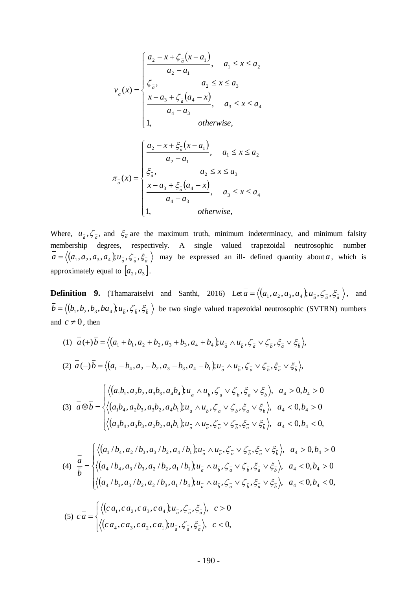$$
v_{\overline{a}}(x) = \begin{cases} \frac{a_2 - x + \zeta_{\overline{a}}(x - a_1)}{a_2 - a_1}, & a_1 \le x \le a_2 \\ \zeta_{\overline{a}}, & a_2 \le x \le a_3 \\ \frac{x - a_3 + \zeta_{\overline{a}}(a_4 - x)}{a_4 - a_3}, & a_3 \le x \le a_4 \\ 1, & \text{otherwise,} \end{cases}
$$

$$
\pi_{a}(x) = \begin{cases}\n a_{2} - x + \xi_{a}(x - a_{1}) \\
 a_{2} - a_{1}, & a_{1} \leq x \leq a_{2} \\
 \xi_{a}, & a_{2} \leq x \leq a_{3} \\
 x - a_{3} + \xi_{a}(a_{4} - x), & a_{3} \leq x \leq a_{4} \\
 1, & \text{otherwise,} \n\end{cases}
$$

Where,  $u_{\bar{a}}^2$ ,  $\zeta_{\bar{a}}^-$ , and  $\zeta_{\bar{a}}$  are the maximum truth, minimum indeterminacy, and minimum falsity membership degrees, respectively. A single valued trapezoidal neutrosophic number  $a = \langle (a_1, a_2, a_3, a_4), u_a^-, \zeta_a^-, \zeta_a^-\rangle$  may be expressed an ill- defined quantity about *a*, which is approximately equal to  $[a_2, a_3]$ .

**Definition 9.** (Thamaraiselvi and Santhi, 2016) Let  $\overline{a} = \langle (a_1, a_2, a_3, a_4), u_a^-, \zeta_a^-, \zeta_a^-\rangle$ , and  $\bar{b} = \langle (b_1, b_2, b_3, ba_4), u_{\bar{b}}, \zeta_{\bar{b}}, \xi_{\bar{b}} \rangle$  be two single valued trapezoidal neutrosophic (SVTRN) numbers and  $c \neq 0$ , then

(1) 
$$
\bar{a}(+)\bar{b} = \langle (a_1 + b_1, a_2 + b_2, a_3 + b_3, a_4 + b_4), u_{\bar{a}} \wedge u_{\bar{b}}, \zeta_{\bar{a}} \vee \zeta_{\bar{b}}, \xi_{\bar{a}} \vee \xi_{\bar{b}} \rangle
$$
,  
\n(2)  $\bar{a}(-)\bar{b} = \langle (a_1 - b_4, a_2 - b_2, a_3 - b_3, a_4 - b_1), u_{\bar{a}} \wedge u_{\bar{b}}, \zeta_{\bar{a}} \vee \zeta_{\bar{b}}, \xi_{\bar{a}} \vee \xi_{\bar{b}} \rangle$ ,  
\n(3)  $\bar{a} \otimes \bar{b} = \begin{cases} \langle (a_1b_1, a_2b_2, a_3b_3, a_4b_4), u_{\bar{a}} \wedge u_{\bar{b}}, \zeta_{\bar{a}} \vee \zeta_{\bar{b}}, \xi_{\bar{a}} \vee \xi_{\bar{b}} \rangle, & a_4 > 0, b_4 > 0 \\ \langle (a_1b_4, a_2b_3, a_3b_2, a_4b_1), u_{\bar{a}} \wedge u_{\bar{b}}, \zeta_{\bar{a}} \vee \zeta_{\bar{b}}, \xi_{\bar{a}} \vee \xi_{\bar{b}} \rangle, & a_4 < 0, b_4 > 0 \\ \langle (a_4b_4, a_3b_3, a_2b_2, a_1b_1), u_{\bar{a}} \wedge u_{\bar{b}}, \zeta_{\bar{a}} \vee \zeta_{\bar{b}}, \xi_{\bar{a}} \vee \xi_{\bar{b}} \rangle, & a_4 < 0, b_4 < 0, b_4 > 0 \end{cases}$ 

$$
(4) \frac{a}{b} = \begin{cases} \left\langle \left( a_1 / b_4, a_2 / b_3, a_3 / b_2, a_4 / b_1 \right) \right\rangle u_a \wedge u_{\bar{b}}, \zeta_{\bar{a}} \vee \zeta_{\bar{b}}, \xi_{\bar{a}} \vee \xi_{\bar{b}} \right\rangle, & a_4 > 0, b_4 > 0 \\ \left\langle \left( a_4 / b_4, a_3 / b_3, a_2 / b_2, a_1 / b_1 \right) \right\rangle u_a \wedge u_{\bar{b}}, \zeta_{\bar{a}} \vee \zeta_{\bar{b}}, \xi_{\bar{a}} \vee \xi_{\bar{b}} \right\rangle, & a_4 < 0, b_4 > 0 \\ \left\langle \left( a_4 / b_1, a_3 / b_2, a_2 / b_3, a_1 / b_4 \right) \right\rangle u_a \wedge u_{\bar{b}}, \zeta_{\bar{a}} \vee \zeta_{\bar{b}}, \xi_{\bar{a}} \vee \xi_{\bar{b}} \right\rangle, & a_4 < 0, b_4 < 0, b_4 < 0, b_4 < 0, b_4 < 0, b_4 < 0, b_4 < 0, b_4 < 0, b_4 < 0, b_4 < 0, b_4 < 0, b_4 < 0, b_4 < 0, b_4 < 0, b_4 < 0, b_4 < 0, b_4 < 0, b_4 < 0, b_4 < 0, b_4 < 0, b_4 < 0, b_4 < 0, b_4 < 0, b_4 < 0, b_4 < 0, b_4 < 0, b_4 < 0, b_4 < 0, b_4 < 0, b_4 < 0, b_4 < 0, b_4 < 0, b_4 < 0, b_4 < 0, b_4 < 0, b_4 < 0, b_4 < 0, b_4 < 0, b_4 < 0, b_4 < 0, b_4 < 0, b_4 < 0, b_4 < 0, b_4 < 0, b_4 < 0, b_4 < 0, b_4 < 0, b_4 < 0, b_4 < 0, b_4 < 0, b_4 < 0, b_4 < 0, b_4 < 0, b_4 < 0, b_4 < 0, b_4 < 0, b_4 < 0, b_4 < 0, b
$$

(5) 
$$
c\overline{a} = \begin{cases} \langle (ca_1, ca_2, ca_3, ca_4), u_a^-, \zeta_a^-, \xi_a^-, c > 0 \\ \langle (ca_4, ca_3, ca_2, ca_1), u_a^-, \zeta_a^-, \xi_a^-, c < 0, \end{cases}
$$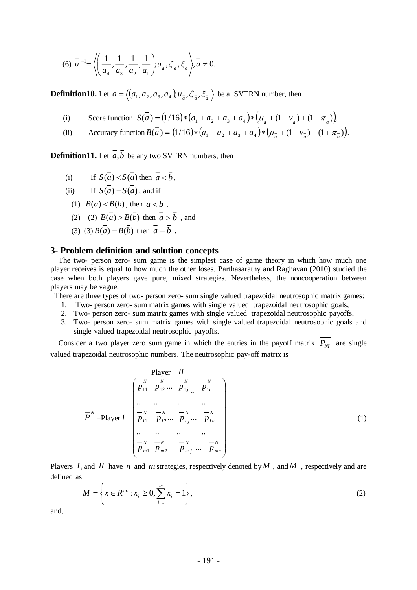$$
(6) \ \overline{a}^{-1} = \left\langle \left( \frac{1}{a_4}, \frac{1}{a_3}, \frac{1}{a_2}, \frac{1}{a_1} \right); u_{\overline{a}}, \zeta_{\overline{a}}, \xi_{\overline{a}} \right\rangle, \overline{a} \neq 0.
$$

**Definition10.** Let  $\overline{a} = \langle (a_1, a_2, a_3, a_4), u_a^-, \zeta_a^-, \xi_a^-\rangle$  be a SVTRN number, then

- (i) Score function  $S(\overline{a}) = (1/16) * (a_1 + a_2 + a_3 + a_4) * (\mu_{\overline{a}} + (1 \nu_{\overline{a}}) + (1 \pi_{\overline{a}}))$
- (ii) Accuracy function  $B(\vec{a}) = (1/16) * (a_1 + a_2 + a_3 + a_4) * (\mu_{\vec{a}} + (1 \nu_{\vec{a}}) + (1 + \pi_{\vec{a}}))$ .

**Definition11.** Let *<sup>a</sup>*,*b* be any two SVTRN numbers, then

- (i) If  $S(a) < S(a)$  then  $a < b$ ,
- $(ii)$  $S(a) = S(a)$ , and if
- (1)  $B(a) < B(b)$ , then  $a < b$ ,
- (2) (2)  $B(a) > B(b)$  then  $a > b$ , and
- (3) (3)  $B(a) = B(b)$  then  $a = b$ .

#### **3- Problem definition and solution concepts**

 The two- person zero- sum game is the simplest case of game theory in which how much one player receives is equal to how much the other loses. Parthasarathy and Raghavan (2010) studied the case when both players gave pure, mixed strategies. Nevertheless, the noncooperation between players may be vague.

There are three types of two- person zero- sum single valued trapezoidal neutrosophic matrix games:

- 1. Two- person zero- sum matrix games with single valued trapezoidal neutrosophic goals,
- 2. Two- person zero- sum matrix games with single valued trapezoidal neutrosophic payoffs,
- 3. Two- person zero- sum matrix games with single valued trapezoidal neutrosophic goals and single valued trapezoidal neutrosophic payoffs.

Consider a two player zero sum game in which the entries in the payoff matrix  $P_M$  are single valued trapezoidal neutrosophic numbers. The neutrosophic pay-off matrix is

Player *II*  
\n
$$
\overline{P}^{N} = \text{Player } I
$$
\n
$$
\overline{P}^{N} = \text{Player } I
$$
\n
$$
\overline{P}^{N} = \text{Player } I
$$
\n
$$
\overline{P}^{N} = \text{Player } I
$$
\n
$$
\overline{P}^{N} = \overline{P}^{N} = \overline{P}^{N} = \overline{P}^{N} = \overline{P}^{N} = \overline{P}^{N} = \overline{P}^{N} = \overline{P}^{N} = \overline{P}^{N} = \overline{P}^{N} = \overline{P}^{N} = \overline{P}^{N} = \overline{P}^{N} = \overline{P}^{N} = \overline{P}^{N} = \overline{P}^{N} = \overline{P}^{N} = \overline{P}^{N} = \overline{P}^{N} = \overline{P}^{N} = \overline{P}^{N} = \overline{P}^{N} = \overline{P}^{N} = \overline{P}^{N} = \overline{P}^{N} = \overline{P}^{N} = \overline{P}^{N} = \overline{P}^{N} = \overline{P}^{N} = \overline{P}^{N} = \overline{P}^{N} = \overline{P}^{N} = \overline{P}^{N} = \overline{P}^{N} = \overline{P}^{N} = \overline{P}^{N} = \overline{P}^{N} = \overline{P}^{N} = \overline{P}^{N} = \overline{P}^{N} = \overline{P}^{N} = \overline{P}^{N} = \overline{P}^{N} = \overline{P}^{N} = \overline{P}^{N} = \overline{P}^{N} = \overline{P}^{N} = \overline{P}^{N} = \overline{P}^{N} = \overline{P}^{N} = \overline{P}^{N} = \overline{P}^{N} = \overline{P}^{N} = \overline{P}^{N} = \overline{P}^{N} = \overline{P}^{N} = \overline{P}^{N} = \overline{P}^{N} = \overline{P}^{N} = \overline{P}^{N} = \overline{P}^{N} = \overline{P}^{N} = \overline{P}^{N} = \overline{P}^{N} = \overline{P}^{N}
$$

Players *I*, and *II* have *n* and *m* strategies, respectively denoted by *M*, and *M*, respectively and are defined as

$$
M = \left\{ x \in R^m : x_i \ge 0, \sum_{i=1}^m x_i = 1 \right\},\tag{2}
$$

and,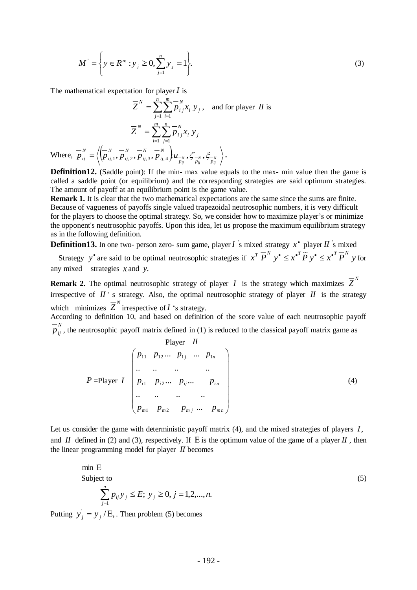$$
M^{'} = \left\{ y \in R^{m} : y_{j} \ge 0, \sum_{j=1}^{n} y_{j} = 1 \right\}.
$$
 (3)

The mathematical expectation for player *I* is

$$
\overline{Z}^{N} = \sum_{j=1}^{n} \sum_{i=1}^{m} \overline{p}_{ij}^{N} x_{i} y_{j}, \text{ and for player } II \text{ is}
$$

$$
\overline{Z}^{N} = \sum_{i=1}^{m} \sum_{j=1}^{n} \overline{p}_{ij}^{N} x_{i} y_{j}
$$
Where,  $\overline{p}_{ij}^{N} = \left\langle \left( \overline{p}_{ij,1}^{N}, \overline{p}_{ij,2}^{N}, \overline{p}_{ij,3}^{N}, \overline{p}_{ij,4}^{N} \right) u_{\overline{p}_{ij}}^{N}, \zeta_{\overline{p}_{ij}}^{N}, \zeta_{\overline{p}_{ij}}^{N}, \zeta_{\overline{p}_{ij}}^{N} \right\rangle.$ 

**Definition12.** (Saddle point): If the min- max value equals to the max- min value then the game is called a saddle point (or equilibrium) and the corresponding strategies are said optimum strategies. The amount of payoff at an equilibrium point is the game value.

**Remark 1.** It is clear that the two mathematical expectations are the same since the sums are finite. Because of vagueness of payoffs single valued trapezoidal neutrosophic numbers, it is very difficult for the players to choose the optimal strategy. So, we consider how to maximize player's or minimize the opponent's neutrosophic payoffs. Upon this idea, let us propose the maximum equilibrium strategy as in the following definition.

**Definition13.** In one two- person zero- sum game, player  $I$  s mixed strategy  $x^*$  player  $II$  s mixed

Strategy y' are said to be optimal neutrosophic strategies if  $x^T \overline{P}^N$   $y^* \leq x^{*T} \overline{P}^N$   $y^* \leq x^{*T} \overline{P}^N$  y for any mixed strategies *x* and *y*.

**Remark 2.** The optimal neutrosophic strategy of player *I* is the strategy which maximizes  $\overline{Z}^N$ irrespective of  $II$ <sup>'</sup> s strategy. Also, the optimal neutrosophic strategy of player  $II$  is the strategy which minimizes  $\overline{Z}^N$  irrespective of *I* 's strategy.

According to definition 10, and based on definition of the score value of each neutrosophic payoff  $\overline{p}_{ij}^N$ , the neutrosophic payoff matrix defined in (1) is reduced to the classical payoff matrix game as

Player *H*  
\n
$$
P = \text{Player } I
$$
\n
$$
\begin{bmatrix}\np_{11} & p_{12} & \cdots & p_{1j} & \cdots & p_{1n} \\
\vdots & \vdots & \ddots & \vdots & \vdots \\
p_{i1} & p_{i2} & \cdots & p_{ij} & \cdots & p_{in} \\
\vdots & \vdots & \vdots & \ddots & \vdots \\
p_{m1} & p_{m2} & p_{mj} & \cdots & p_{mn}\n\end{bmatrix}
$$
\n(4)

Let us consider the game with deterministic payoff matrix (4), and the mixed strategies of players *I*, and  $\hat{I}$  defined in (2) and (3), respectively. If E is the optimum value of the game of a player  $\hat{I}$ , then the linear programming model for player *II* becomes

min E  
Subject to  

$$
\sum_{j=1}^{n} p_{ij} y_j \le E; y_j \ge 0, j = 1, 2, ..., n.
$$
 (5)

Putting  $y'_j = y_j / E$ , Then problem (5) becomes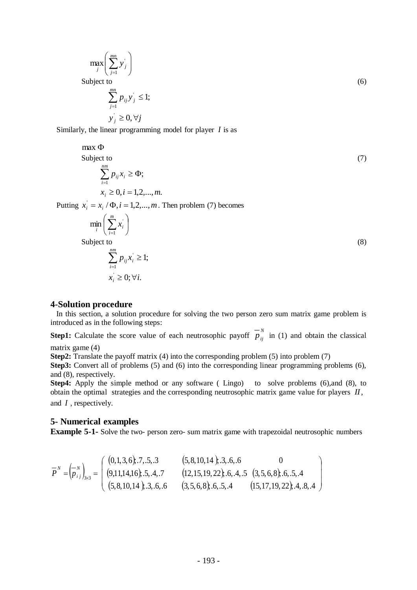$$
\max_{j} \left( \sum_{j=1}^{mn} y_{j} \right)
$$
  
Subject to  

$$
\sum_{j=1}^{mn} p_{ij} y_{j} \le 1;
$$
  

$$
y_{j} \ge 0, \forall j
$$
 (6)

Similarly, the linear programming model for player *I* is as

### $max$   $\Phi$ Subject to  $(7)$ *nm*  $\sum p_{ij}x_i \ge \Phi$

$$
\sum_{i=1}^{n} p_{ij} x_i \ge \Phi;
$$
  

$$
x_i \ge 0, i = 1, 2, ..., m.
$$

Putting  $x_i = x_i / \Phi, i = 1, 2, ..., m$ . Then problem (7) becomes

$$
\min_{i} \left( \sum_{i=1}^{m} x_{i} \right)
$$
\n
$$
\text{Subject to}
$$
\n
$$
\sum_{i=1}^{nm} p_{ij} x_{i} \ge 1;
$$
\n
$$
x_{i} \ge 0; \forall i.
$$
\n(8)

#### **4-Solution procedure**

 In this section, a solution procedure for solving the two person zero sum matrix game problem is introduced as in the following steps:

**Step1:** Calculate the score value of each neutrosophic payoff  $\overline{p}_{ij}^{N}$  in (1) and obtain the classical matrix game (4)

**Step2:** Translate the payoff matrix (4) into the corresponding problem (5) into problem (7)

**Step3:** Convert all of problems (5) and (6) into the corresponding linear programming problems (6), and (8), respectively.

**Step4:** Apply the simple method or any software (Lingo) to solve problems (6), and (8), to obtain the optimal strategies and the corresponding neutrosophic matrix game value for players *II*, and *I* , respectively.

# **5- Numerical examples**

**Example 5-1-** Solve the two- person zero- sum matrix game with trapezoidal neutrosophic numbers

I

I

$$
\overline{P}^{N} = \left(\overline{p}_{ij}^{N}\right)_{3\times 3} = \left(\begin{array}{cc} (0,1,3,6), .7, .5, .3 & (5,8,10,14), .3, .6, .6 & 0\\ (9,11,14,16), .5, .4, .7 & (12,15,19,22), .6, .4, .5 & (3,5,6,8), .6, .5, .4\\ (5,8,10,14), .3, .6, .6 & (3,5,6,8), .6, .5, .4 & (15,17,19,22), .4, .8, .4 \end{array}\right)
$$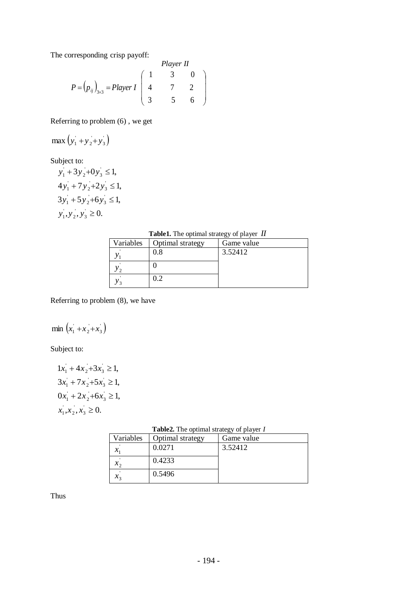The corresponding crisp payoff:

*Player II*  

$$
P = (p_{ij})_{3\times 3} = Player \begin{pmatrix} 1 & 3 & 0 \\ 4 & 7 & 2 \\ 3 & 5 & 6 \end{pmatrix}
$$

Referring to problem (6) , we get

$$
\max(y_1 + y_2 + y_3)
$$

Subject to:

$$
y_1 + 3y_2 + 0y_3 \le 1,
$$
  
\n
$$
4y_1 + 7y_2 + 2y_3 \le 1,
$$
  
\n
$$
3y_1 + 5y_2 + 6y_3 \le 1,
$$
  
\n
$$
y_1, y_2, y_3 \ge 0.
$$

| <b>Table1.</b> The optimal strategy of player $II$ |  |  |
|----------------------------------------------------|--|--|
|----------------------------------------------------|--|--|

| Variables | Optimal strategy | Game value |
|-----------|------------------|------------|
|           | 0.8              | 3.52412    |
|           |                  |            |
|           | 0.2              |            |

Referring to problem (8), we have

#### $(x_1 + x_2 + x_3)$  $\frac{1}{2}$  $\min$   $(x_1 + x_2 + x_3)$

Subject to:

$$
1x_1 + 4x_2 + 3x_3 \ge 1,
$$
  
\n
$$
3x_1 + 7x_2 + 5x_3 \ge 1,
$$
  
\n
$$
0x_1 + 2x_2 + 6x_3 \ge 1,
$$
  
\n
$$
x_1, x_2, x_3 \ge 0.
$$

| <b>Table2.</b> The optimal strategy of player I |                              |              |  |
|-------------------------------------------------|------------------------------|--------------|--|
|                                                 | Variables   Optimal strategy | l Game value |  |
|                                                 | 0.0271                       | 352412       |  |

 $\overline{\phantom{0}}$ 

| variables              | Optimal strategy | Game value |
|------------------------|------------------|------------|
|                        | 0.0271           | 3.52412    |
| $\mathcal{X}_{\alpha}$ | 0.4233           |            |
| $x_{2}$                | 0.5496           |            |

Thus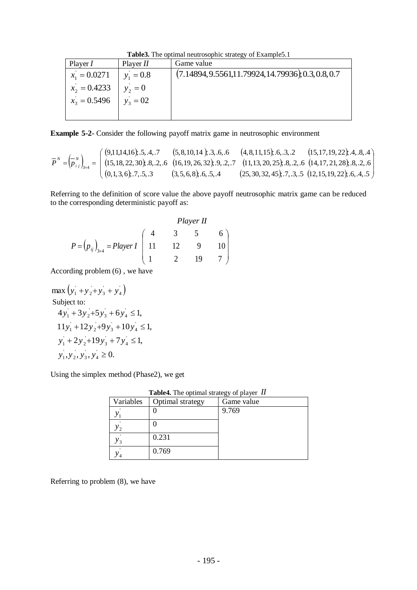**Table3.** The optimal neutrosophic strategy of Example5.1

| Player $I$      | Player $II$ | Game value                                              |
|-----------------|-------------|---------------------------------------------------------|
| $x_1 = 0.0271$  | $y_1 = 0.8$ | $(7.14894, 9.5561, 11.79924, 14.79936), 0.3, 0.8, 0.7)$ |
| $x'_2 = 0.4233$ | $y_2 = 0$   |                                                         |
| $x_3 = 0.5496$  | $y_3 = 02$  |                                                         |
|                 |             |                                                         |

**Example 5-2-** Consider the following payoff matrix game in neutrosophic environment

$$
\overline{P}^{N} = \left(\overline{p}_{ij}^{N}\right)_{3\times 4} = \begin{pmatrix} (9,11,14,16); .5, .4, .7 & (5,8,10,14); .3, .6, .6 & (4,8,11,15); .6, .3, .2 & (15,17,19,22); .4, .8, .4 \\ (15,18,22,30); .8, .2, .6 & (16,19,26,32); .9, .2, .7 & (11,13,20,25); .8, .2, .6 & (14,17,21,28); .8, .2, .6 \\ (0,1,3,6); .7, .5, .3 & (3,5,6,8); .6, .5, .4 & (25,30,32,45); .7, .3, .5 & (12,15,19,22); .6, .4, .5 \end{pmatrix}
$$

Referring to the definition of score value the above payoff neutrosophic matrix game can be reduced to the corresponding deterministic payoff as:

*Player II*  
\n
$$
P = (p_{ij})_{3\times 4} = Player \begin{pmatrix} 4 & 3 & 5 & 6 \\ 11 & 12 & 9 & 10 \\ 1 & 2 & 19 & 7 \end{pmatrix}
$$

According problem (6) , we have

 $(y_1 + y_2 + y_3 + y_4)$ ' 3  $\frac{1}{2}$  $max(y_1 + y_2 + y_3 + y_4)$ Subject to:  $, y_2, y_3, y_4 \geq 0.$  $2y_2+19y_3+7y_4 \leq 1$  $11y_1 + 12y_2 + 9y_3 + 10y_4 \le 1$  $4y_1 + 3y_2 + 5y_3 + 6y_4 \le 1$ , ' 3  $\frac{1}{2}$  $y_1, y_2, y_3, y_4 \geq$ ' 3  $\frac{1}{2}$  $y_1 + 2y_2 + 19y_3 + 7y_4 \le$ ' 3  $\frac{1}{2}$  $y_1 + 12y_2 + 9y_3 + 10y_4 \le$ ' 3  $\frac{1}{2}$  $y_1 + 3y_2 + 5y_3 + 6y_4 \le$ 

Using the simplex method (Phase2), we get

| Variables | Optimal strategy | Game value |
|-----------|------------------|------------|
|           |                  | 9.769      |
| ຳ         |                  |            |
| ั ว       | 0.231            |            |
| 4         | 0.769            |            |

**Table4.** The optimal strategy of player *II*

Referring to problem (8), we have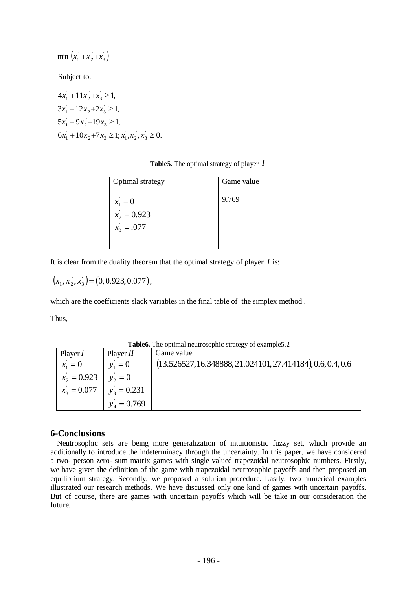$\min \left( x_1 + x_2 + x_3 \right)$ 

Subject to:

$$
4x_1 + 11x_2 + x_3 \ge 1,
$$
  
\n
$$
3x_1 + 12x_2 + 2x_3 \ge 1,
$$
  
\n
$$
5x_1 + 9x_2 + 19x_3 \ge 1,
$$
  
\n
$$
6x_1 + 10x_2 + 7x_3 \ge 1; x_1, x_2, x_3 \ge 0.
$$

**Table5.** The optimal strategy of player *I*

| <b>Optimal</b> strategy                    | Game value |
|--------------------------------------------|------------|
| $x_1 = 0$<br>$x_2 = 0.923$<br>$x_3 = .077$ | 9.769      |

It is clear from the duality theorem that the optimal strategy of player *I* is:

$$
(x_1, x_2, x_3) = (0, 0.923, 0.077),
$$

which are the coefficients slack variables in the final table of the simplex method .

Thus,

|  |  | Table6. The optimal neutrosophic strategy of example5.2 |
|--|--|---------------------------------------------------------|
|  |  |                                                         |

| Player $I$     | Player $II$   | Game value                                                    |
|----------------|---------------|---------------------------------------------------------------|
| $x_1 = 0$      | $y_1 = 0$     | $(13.526527, 16.348888, 21.024101, 27.414184), 0.6, 0.4, 0.6$ |
| $x'_2 = 0.923$ | $y_2 = 0$     |                                                               |
| $x_3 = 0.077$  | $y_3 = 0.231$ |                                                               |
|                | $y_4 = 0.769$ |                                                               |

# **6-Conclusions**

Neutrosophic sets are being more generalization of intuitionistic fuzzy set, which provide an additionally to introduce the indeterminacy through the uncertainty. In this paper, we have considered a two- person zero- sum matrix games with single valued trapezoidal neutrosophic numbers. Firstly, we have given the definition of the game with trapezoidal neutrosophic payoffs and then proposed an equilibrium strategy. Secondly, we proposed a solution procedure. Lastly, two numerical examples illustrated our research methods. We have discussed only one kind of games with uncertain payoffs. But of course, there are games with uncertain payoffs which will be take in our consideration the future.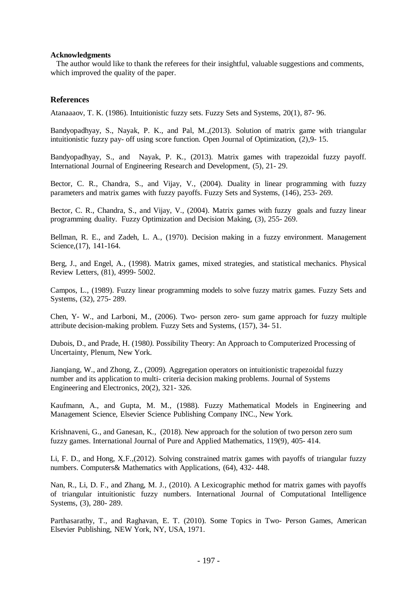#### **Acknowledgments**

 The author would like to thank the referees for their insightful, valuable suggestions and comments, which improved the quality of the paper.

### **References**

Atanaaaov, T. K. (1986). Intuitionistic fuzzy sets. Fuzzy Sets and Systems, 20(1), 87- 96.

Bandyopadhyay, S., Nayak, P. K., and Pal, M.,(2013). Solution of matrix game with triangular intuitionistic fuzzy pay- off using score function. Open Journal of Optimization, (2),9- 15.

Bandyopadhyay, S., and Nayak, P. K., (2013). Matrix games with trapezoidal fuzzy payoff. International Journal of Engineering Research and Development, (5), 21- 29.

Bector, C. R., Chandra, S., and Vijay, V., (2004). Duality in linear programming with fuzzy parameters and matrix games with fuzzy payoffs. Fuzzy Sets and Systems, (146), 253- 269.

Bector, C. R., Chandra, S., and Vijay, V., (2004). Matrix games with fuzzy goals and fuzzy linear programming duality. Fuzzy Optimization and Decision Making, (3), 255- 269.

Bellman, R. E., and Zadeh, L. A., (1970). Decision making in a fuzzy environment. Management Science,(17), 141-164.

Berg, J., and Engel, A., (1998). Matrix games, mixed strategies, and statistical mechanics. Physical Review Letters, (81), 4999- 5002.

Campos, L., (1989). Fuzzy linear programming models to solve fuzzy matrix games. Fuzzy Sets and Systems, (32), 275- 289.

Chen, Y- W., and Larboni, M., (2006). Two- person zero- sum game approach for fuzzy multiple attribute decision-making problem. Fuzzy Sets and Systems, (157), 34- 51.

Dubois, D., and Prade, H. (1980*).* Possibility Theory: An Approach to Computerized Processing of Uncertainty, Plenum, New York.

Jianqiang, W., and Zhong, Z., (2009). Aggregation operators on intuitionistic trapezoidal fuzzy number and its application to multi- criteria decision making problems. Journal of Systems Engineering and Electronics, 20(2), 321- 326.

Kaufmann, A., and Gupta, M. M., (1988). Fuzzy Mathematical Models in Engineering and Management Science, Elsevier Science Publishing Company INC., New York.

Krishnaveni, G., and Ganesan, K., (2018). New approach for the solution of two person zero sum fuzzy games. International Journal of Pure and Applied Mathematics, 119(9), 405- 414.

Li, F. D., and Hong, X.F.,(2012). Solving constrained matrix games with payoffs of triangular fuzzy numbers. Computers& Mathematics with Applications, (64), 432- 448.

Nan, R., Li, D. F., and Zhang, M. J., (2010). A Lexicographic method for matrix games with payoffs of triangular intuitionistic fuzzy numbers. International Journal of Computational Intelligence Systems, (3), 280- 289.

Parthasarathy, T., and Raghavan, E. T. (2010). Some Topics in Two- Person Games, American Elsevier Publishing, NEW York, NY, USA, 1971.